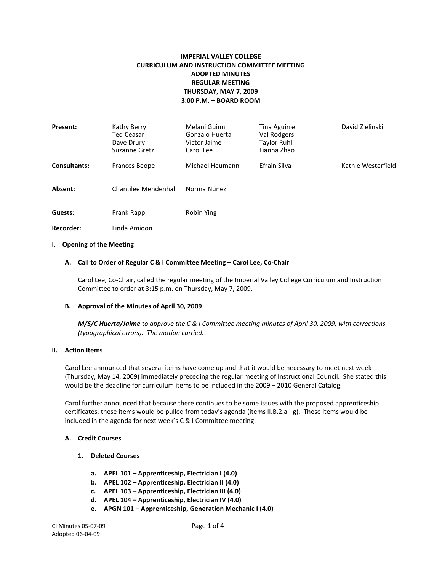# **IMPERIAL VALLEY COLLEGE CURRICULUM AND INSTRUCTION COMMITTEE MEETING ADOPTED MINUTES REGULAR MEETING THURSDAY, MAY 7, 2009 3:00 P.M. – BOARD ROOM**

| <b>Present:</b>     | Kathy Berry<br>Ted Ceasar<br>Dave Drury<br>Suzanne Gretz | Melani Guinn<br>Gonzalo Huerta<br>Victor Jaime<br>Carol Lee | Tina Aguirre<br>Val Rodgers<br>Taylor Ruhl<br>Lianna Zhao | David Zielinski    |
|---------------------|----------------------------------------------------------|-------------------------------------------------------------|-----------------------------------------------------------|--------------------|
| <b>Consultants:</b> | Frances Beope                                            | Michael Heumann                                             | <b>Efrain Silva</b>                                       | Kathie Westerfield |
| Absent:             | Chantilee Mendenhall                                     | Norma Nunez                                                 |                                                           |                    |
| Guests:             | Frank Rapp                                               | Robin Ying                                                  |                                                           |                    |
| Recorder:           | Linda Amidon                                             |                                                             |                                                           |                    |

#### **I. Opening of the Meeting**

#### **A. Call to Order of Regular C & I Committee Meeting – Carol Lee, Co-Chair**

Carol Lee, Co-Chair, called the regular meeting of the Imperial Valley College Curriculum and Instruction Committee to order at 3:15 p.m. on Thursday, May 7, 2009.

#### **B. Approval of the Minutes of April 30, 2009**

*M/S/C Huerta/Jaime to approve the C & I Committee meeting minutes of April 30, 2009, with corrections (typographical errors). The motion carried.*

### **II. Action Items**

Carol Lee announced that several items have come up and that it would be necessary to meet next week (Thursday, May 14, 2009) immediately preceding the regular meeting of Instructional Council. She stated this would be the deadline for curriculum items to be included in the 2009 – 2010 General Catalog.

Carol further announced that because there continues to be some issues with the proposed apprenticeship certificates, these items would be pulled from today's agenda (items II.B.2.a - g). These items would be included in the agenda for next week's C & I Committee meeting.

#### **A. Credit Courses**

- **1. Deleted Courses**
	- **a. APEL 101 – Apprenticeship, Electrician I (4.0)**
	- **b. APEL 102 – Apprenticeship, Electrician II (4.0)**
	- **c. APEL 103 – Apprenticeship, Electrician III (4.0)**
	- **d. APEL 104 – Apprenticeship, Electrician IV (4.0)**
	- **e. APGN 101 – Apprenticeship, Generation Mechanic I (4.0)**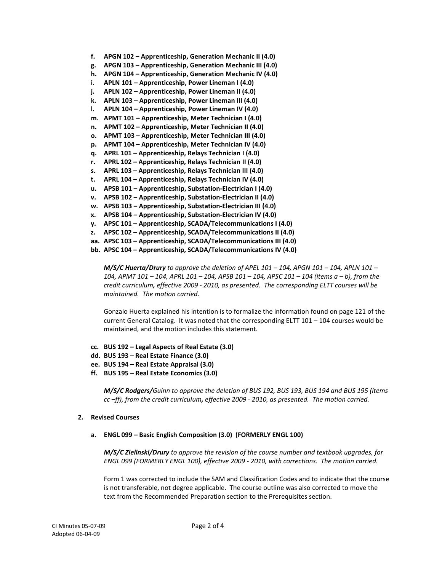- **f. APGN 102 – Apprenticeship, Generation Mechanic II (4.0)**
- **g. APGN 103 – Apprenticeship, Generation Mechanic III (4.0)**
- **h. APGN 104 – Apprenticeship, Generation Mechanic IV (4.0)**
- **i. APLN 101 – Apprenticeship, Power Lineman I (4.0)**
- **j. APLN 102 – Apprenticeship, Power Lineman II (4.0)**
- **k. APLN 103 – Apprenticeship, Power Lineman III (4.0)**
- **l. APLN 104 – Apprenticeship, Power Lineman IV (4.0)**
- **m. APMT 101 – Apprenticeship, Meter Technician I (4.0)**
- **n. APMT 102 – Apprenticeship, Meter Technician II (4.0)**
- **o. APMT 103 – Apprenticeship, Meter Technician III (4.0)**
- **p. APMT 104 – Apprenticeship, Meter Technician IV (4.0)**
- **q. APRL 101 – Apprenticeship, Relays Technician I (4.0)**
- **r. APRL 102 – Apprenticeship, Relays Technician II (4.0)**
- **s. APRL 103 – Apprenticeship, Relays Technician III (4.0)**
- **t. APRL 104 – Apprenticeship, Relays Technician IV (4.0)**
- **u. APSB 101 – Apprenticeship, Substation-Electrician I (4.0)**
- **v. APSB 102 – Apprenticeship, Substation-Electrician II (4.0)**
- **w. APSB 103 – Apprenticeship, Substation-Electrician III (4.0)**
- **x. APSB 104 – Apprenticeship, Substation-Electrician IV (4.0)**
- **y. APSC 101 – Apprenticeship, SCADA/Telecommunications I (4.0)**
- **z. APSC 102 – Apprenticeship, SCADA/Telecommunications II (4.0)**
- **aa. APSC 103 – Apprenticeship, SCADA/Telecommunications III (4.0)**
- **bb. APSC 104 – Apprenticeship, SCADA/Telecommunications IV (4.0)**

*M/S/C Huerta/Drury to approve the deletion of APEL 101 – 104, APGN 101 – 104, APLN 101 – 104, APMT 101 – 104, APRL 101 – 104, APSB 101 – 104, APSC 101 – 104 (items a – b), from the credit curriculum, effective 2009 - 2010, as presented. The corresponding ELTT courses will be maintained. The motion carried.*

Gonzalo Huerta explained his intention is to formalize the information found on page 121 of the current General Catalog. It was noted that the corresponding ELTT 101 – 104 courses would be maintained, and the motion includes this statement.

- **cc. BUS 192 – Legal Aspects of Real Estate (3.0)**
- **dd. BUS 193 – Real Estate Finance (3.0)**
- **ee. BUS 194 – Real Estate Appraisal (3.0)**
- **ff. BUS 195 – Real Estate Economics (3.0)**

*M/S/C Rodgers/Guinn to approve the deletion of BUS 192, BUS 193, BUS 194 and BUS 195 (items cc –ff), from the credit curriculum, effective 2009 - 2010, as presented. The motion carried.*

#### **2. Revised Courses**

#### **a. ENGL 099 – Basic English Composition (3.0) (FORMERLY ENGL 100)**

*M/S/C Zielinski/Drury to approve the revision of the course number and textbook upgrades, for ENGL 099 (FORMERLY ENGL 100), effective 2009 - 2010, with corrections. The motion carried.*

Form 1 was corrected to include the SAM and Classification Codes and to indicate that the course is not transferable, not degree applicable. The course outline was also corrected to move the text from the Recommended Preparation section to the Prerequisites section.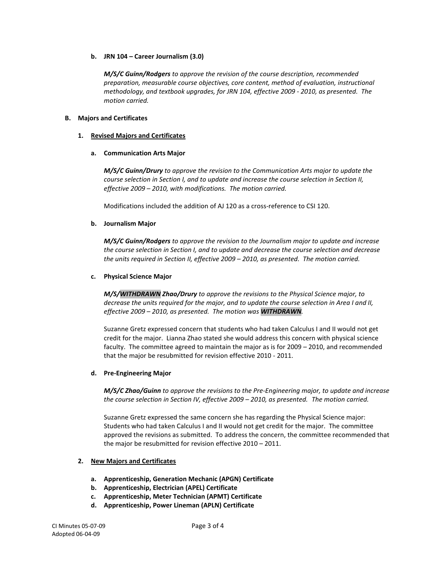# **b. JRN 104 – Career Journalism (3.0)**

*M/S/C Guinn/Rodgers to approve the revision of the course description, recommended preparation, measurable course objectives, core content, method of evaluation, instructional methodology, and textbook upgrades, for JRN 104, effective 2009 - 2010, as presented. The motion carried.*

### **B. Majors and Certificates**

# **1. Revised Majors and Certificates**

### **a. Communication Arts Major**

*M/S/C Guinn/Drury to approve the revision to the Communication Arts major to update the course selection in Section I, and to update and increase the course selection in Section II, effective 2009 – 2010, with modifications. The motion carried.*

Modifications included the addition of AJ 120 as a cross-reference to CSI 120.

### **b. Journalism Major**

*M/S/C Guinn/Rodgers to approve the revision to the Journalism major to update and increase the course selection in Section I, and to update and decrease the course selection and decrease the units required in Section II, effective 2009 – 2010, as presented. The motion carried.*

### **c. Physical Science Major**

*M/S/WITHDRAWN Zhao/Drury to approve the revisions to the Physical Science major, to decrease the units required for the major, and to update the course selection in Area I and II, effective 2009 – 2010, as presented. The motion was WITHDRAWN.*

Suzanne Gretz expressed concern that students who had taken Calculus I and II would not get credit for the major. Lianna Zhao stated she would address this concern with physical science faculty. The committee agreed to maintain the major as is for 2009 – 2010, and recommended that the major be resubmitted for revision effective 2010 - 2011.

# **d. Pre-Engineering Major**

*M/S/C Zhao/Guinn to approve the revisions to the Pre-Engineering major, to update and increase the course selection in Section IV, effective 2009 – 2010, as presented. The motion carried.*

Suzanne Gretz expressed the same concern she has regarding the Physical Science major: Students who had taken Calculus I and II would not get credit for the major. The committee approved the revisions as submitted. To address the concern, the committee recommended that the major be resubmitted for revision effective 2010 – 2011.

# **2. New Majors and Certificates**

- **a. Apprenticeship, Generation Mechanic (APGN) Certificate**
- **b. Apprenticeship, Electrician (APEL) Certificate**
- **c. Apprenticeship, Meter Technician (APMT) Certificate**
- **d. Apprenticeship, Power Lineman (APLN) Certificate**